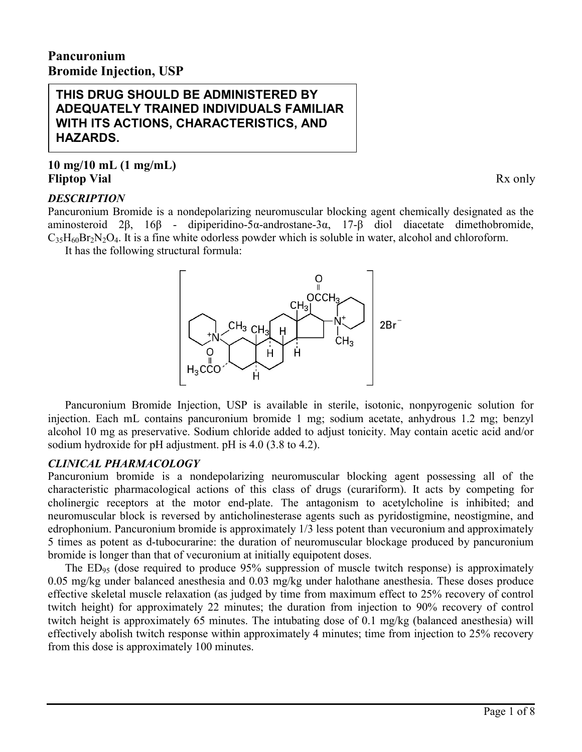# **Pancuronium Bromide Injection, USP**

**THIS DRUG SHOULD BE ADMINISTERED BY ADEQUATELY TRAINED INDIVIDUALS FAMILIAR WITH ITS ACTIONS, CHARACTERISTICS, AND HAZARDS.**

# **10 mg/10 mL (1 mg/mL) Fliptop Vial** Rx only

# *DESCRIPTION*

Pancuronium Bromide is a nondepolarizing neuromuscular blocking agent chemically designated as the aminosteroid 2β, 16β - dipiperidino-5α-androstane-3α, 17-β diol diacetate dimethobromide,  $C_3$ <sub>5</sub> $H_{60}Br_2N_2O_4$ . It is a fine white odorless powder which is soluble in water, alcohol and chloroform. It has the following structural formula:



Pancuronium Bromide Injection, USP is available in sterile, isotonic, nonpyrogenic solution for injection. Each mL contains pancuronium bromide 1 mg; sodium acetate, anhydrous 1.2 mg; benzyl alcohol 10 mg as preservative. Sodium chloride added to adjust tonicity. May contain acetic acid and/or sodium hydroxide for pH adjustment. pH is 4.0 (3.8 to 4.2).

# *CLINICAL PHARMACOLOGY*

Pancuronium bromide is a nondepolarizing neuromuscular blocking agent possessing all of the characteristic pharmacological actions of this class of drugs (curariform). It acts by competing for cholinergic receptors at the motor end-plate. The antagonism to acetylcholine is inhibited; and neuromuscular block is reversed by anticholinesterase agents such as pyridostigmine, neostigmine, and edrophonium. Pancuronium bromide is approximately 1/3 less potent than vecuronium and approximately 5 times as potent as d-tubocurarine: the duration of neuromuscular blockage produced by pancuronium bromide is longer than that of vecuronium at initially equipotent doses.

The  $ED_{95}$  (dose required to produce 95% suppression of muscle twitch response) is approximately 0.05 mg/kg under balanced anesthesia and 0.03 mg/kg under halothane anesthesia. These doses produce effective skeletal muscle relaxation (as judged by time from maximum effect to 25% recovery of control twitch height) for approximately 22 minutes; the duration from injection to 90% recovery of control twitch height is approximately 65 minutes. The intubating dose of 0.1 mg/kg (balanced anesthesia) will effectively abolish twitch response within approximately 4 minutes; time from injection to 25% recovery from this dose is approximately 100 minutes.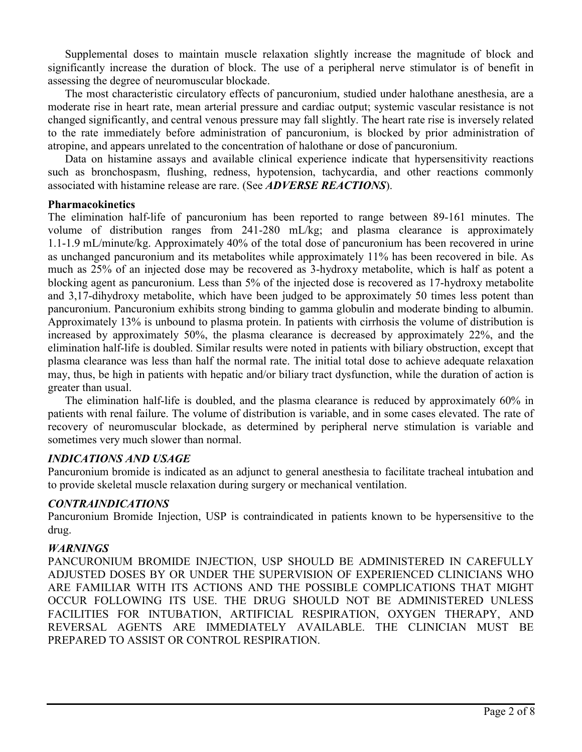Supplemental doses to maintain muscle relaxation slightly increase the magnitude of block and significantly increase the duration of block. The use of a peripheral nerve stimulator is of benefit in assessing the degree of neuromuscular blockade.

The most characteristic circulatory effects of pancuronium, studied under halothane anesthesia, are a moderate rise in heart rate, mean arterial pressure and cardiac output; systemic vascular resistance is not changed significantly, and central venous pressure may fall slightly. The heart rate rise is inversely related to the rate immediately before administration of pancuronium, is blocked by prior administration of atropine, and appears unrelated to the concentration of halothane or dose of pancuronium.

Data on histamine assays and available clinical experience indicate that hypersensitivity reactions such as bronchospasm, flushing, redness, hypotension, tachycardia, and other reactions commonly associated with histamine release are rare. (See *ADVERSE REACTIONS*).

#### **Pharmacokinetics**

The elimination half-life of pancuronium has been reported to range between 89-161 minutes. The volume of distribution ranges from 241-280 mL/kg; and plasma clearance is approximately 1.1-1.9 mL/minute/kg. Approximately 40% of the total dose of pancuronium has been recovered in urine as unchanged pancuronium and its metabolites while approximately 11% has been recovered in bile. As much as 25% of an injected dose may be recovered as 3-hydroxy metabolite, which is half as potent a blocking agent as pancuronium. Less than 5% of the injected dose is recovered as 17-hydroxy metabolite and 3,17-dihydroxy metabolite, which have been judged to be approximately 50 times less potent than pancuronium. Pancuronium exhibits strong binding to gamma globulin and moderate binding to albumin. Approximately 13% is unbound to plasma protein. In patients with cirrhosis the volume of distribution is increased by approximately 50%, the plasma clearance is decreased by approximately 22%, and the elimination half-life is doubled. Similar results were noted in patients with biliary obstruction, except that plasma clearance was less than half the normal rate. The initial total dose to achieve adequate relaxation may, thus, be high in patients with hepatic and/or biliary tract dysfunction, while the duration of action is greater than usual.

The elimination half-life is doubled, and the plasma clearance is reduced by approximately 60% in patients with renal failure. The volume of distribution is variable, and in some cases elevated. The rate of recovery of neuromuscular blockade, as determined by peripheral nerve stimulation is variable and sometimes very much slower than normal.

## *INDICATIONS AND USAGE*

Pancuronium bromide is indicated as an adjunct to general anesthesia to facilitate tracheal intubation and to provide skeletal muscle relaxation during surgery or mechanical ventilation.

## *CONTRAINDICATIONS*

Pancuronium Bromide Injection, USP is contraindicated in patients known to be hypersensitive to the drug.

## *WARNINGS*

PANCURONIUM BROMIDE INJECTION, USP SHOULD BE ADMINISTERED IN CAREFULLY ADJUSTED DOSES BY OR UNDER THE SUPERVISION OF EXPERIENCED CLINICIANS WHO ARE FAMILIAR WITH ITS ACTIONS AND THE POSSIBLE COMPLICATIONS THAT MIGHT OCCUR FOLLOWING ITS USE. THE DRUG SHOULD NOT BE ADMINISTERED UNLESS FACILITIES FOR INTUBATION, ARTIFICIAL RESPIRATION, OXYGEN THERAPY, AND REVERSAL AGENTS ARE IMMEDIATELY AVAILABLE. THE CLINICIAN MUST BE PREPARED TO ASSIST OR CONTROL RESPIRATION.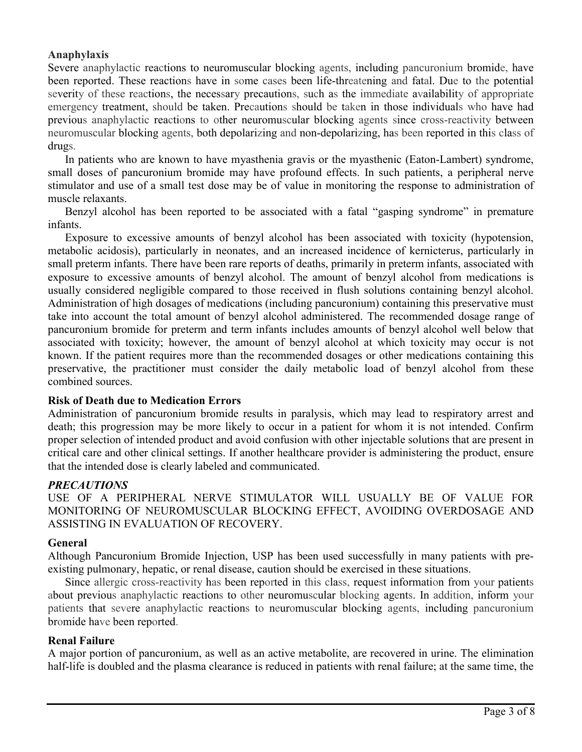## **Anaphylaxis**

Severe anaphylactic reactions to neuromuscular blocking agents, including pancuronium bromide, have been reported. These reactions have in some cases been life-threatening and fatal. Due to the potential severity of these reactions, the necessary precautions, such as the immediate availability of appropriate emergency treatment, should be taken. Precautions should be taken in those individuals who have had previous anaphylactic reactions to other neuromuscular blocking agents since cross-reactivity between neuromuscular blocking agents, both depolarizing and non-depolarizing, has been reported in this class of drugs.

In patients who are known to have myasthenia gravis or the myasthenic (Eaton-Lambert) syndrome, small doses of pancuronium bromide may have profound effects. In such patients, a peripheral nerve stimulator and use of a small test dose may be of value in monitoring the response to administration of muscle relaxants.

Benzyl alcohol has been reported to be associated with a fatal "gasping syndrome" in premature infants.

Exposure to excessive amounts of benzyl alcohol has been associated with toxicity (hypotension, metabolic acidosis), particularly in neonates, and an increased incidence of kernicterus, particularly in small preterm infants. There have been rare reports of deaths, primarily in preterm infants, associated with exposure to excessive amounts of benzyl alcohol. The amount of benzyl alcohol from medications is usually considered negligible compared to those received in flush solutions containing benzyl alcohol. Administration of high dosages of medications (including pancuronium) containing this preservative must take into account the total amount of benzyl alcohol administered. The recommended dosage range of pancuronium bromide for preterm and term infants includes amounts of benzyl alcohol well below that associated with toxicity; however, the amount of benzyl alcohol at which toxicity may occur is not known. If the patient requires more than the recommended dosages or other medications containing this preservative, the practitioner must consider the daily metabolic load of benzyl alcohol from these combined sources.

## **Risk of Death due to Medication Errors**

Administration of pancuronium bromide results in paralysis, which may lead to respiratory arrest and death; this progression may be more likely to occur in a patient for whom it is not intended. Confirm proper selection of intended product and avoid confusion with other injectable solutions that are present in critical care and other clinical settings. If another healthcare provider is administering the product, ensure that the intended dose is clearly labeled and communicated.

## *PRECAUTIONS*

USE OF A PERIPHERAL NERVE STIMULATOR WILL USUALLY BE OF VALUE FOR MONITORING OF NEUROMUSCULAR BLOCKING EFFECT, AVOIDING OVERDOSAGE AND ASSISTING IN EVALUATION OF RECOVERY.

## **General**

Although Pancuronium Bromide Injection, USP has been used successfully in many patients with preexisting pulmonary, hepatic, or renal disease, caution should be exercised in these situations.

Since allergic cross-reactivity has been reported in this class, request information from your patients about previous anaphylactic reactions to other neuromuscular blocking agents. In addition, inform your patients that severe anaphylactic reactions to neuromuscular blocking agents, including pancuronium bromide have been reported.

## **Renal Failure**

A major portion of pancuronium, as well as an active metabolite, are recovered in urine. The elimination half-life is doubled and the plasma clearance is reduced in patients with renal failure; at the same time, the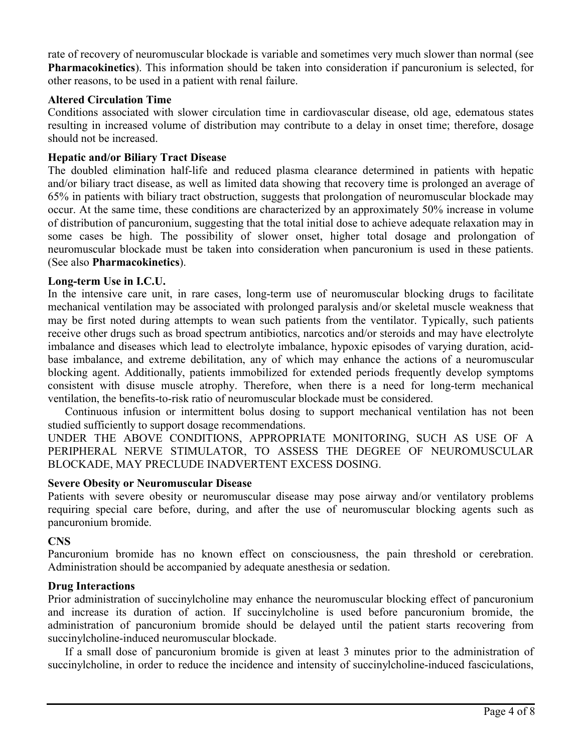rate of recovery of neuromuscular blockade is variable and sometimes very much slower than normal (see **Pharmacokinetics**). This information should be taken into consideration if pancuronium is selected, for other reasons, to be used in a patient with renal failure.

## **Altered Circulation Time**

Conditions associated with slower circulation time in cardiovascular disease, old age, edematous states resulting in increased volume of distribution may contribute to a delay in onset time; therefore, dosage should not be increased.

## **Hepatic and/or Biliary Tract Disease**

The doubled elimination half-life and reduced plasma clearance determined in patients with hepatic and/or biliary tract disease, as well as limited data showing that recovery time is prolonged an average of 65% in patients with biliary tract obstruction, suggests that prolongation of neuromuscular blockade may occur. At the same time, these conditions are characterized by an approximately 50% increase in volume of distribution of pancuronium, suggesting that the total initial dose to achieve adequate relaxation may in some cases be high. The possibility of slower onset, higher total dosage and prolongation of neuromuscular blockade must be taken into consideration when pancuronium is used in these patients. (See also **Pharmacokinetics**).

## **Long-term Use in I.C.U.**

In the intensive care unit, in rare cases, long-term use of neuromuscular blocking drugs to facilitate mechanical ventilation may be associated with prolonged paralysis and/or skeletal muscle weakness that may be first noted during attempts to wean such patients from the ventilator. Typically, such patients receive other drugs such as broad spectrum antibiotics, narcotics and/or steroids and may have electrolyte imbalance and diseases which lead to electrolyte imbalance, hypoxic episodes of varying duration, acidbase imbalance, and extreme debilitation, any of which may enhance the actions of a neuromuscular blocking agent. Additionally, patients immobilized for extended periods frequently develop symptoms consistent with disuse muscle atrophy. Therefore, when there is a need for long-term mechanical ventilation, the benefits-to-risk ratio of neuromuscular blockade must be considered.

Continuous infusion or intermittent bolus dosing to support mechanical ventilation has not been studied sufficiently to support dosage recommendations.

UNDER THE ABOVE CONDITIONS, APPROPRIATE MONITORING, SUCH AS USE OF A PERIPHERAL NERVE STIMULATOR, TO ASSESS THE DEGREE OF NEUROMUSCULAR BLOCKADE, MAY PRECLUDE INADVERTENT EXCESS DOSING.

## **Severe Obesity or Neuromuscular Disease**

Patients with severe obesity or neuromuscular disease may pose airway and/or ventilatory problems requiring special care before, during, and after the use of neuromuscular blocking agents such as pancuronium bromide.

## **CNS**

Pancuronium bromide has no known effect on consciousness, the pain threshold or cerebration. Administration should be accompanied by adequate anesthesia or sedation.

## **Drug Interactions**

Prior administration of succinylcholine may enhance the neuromuscular blocking effect of pancuronium and increase its duration of action. If succinylcholine is used before pancuronium bromide, the administration of pancuronium bromide should be delayed until the patient starts recovering from succinylcholine-induced neuromuscular blockade.

If a small dose of pancuronium bromide is given at least 3 minutes prior to the administration of succinylcholine, in order to reduce the incidence and intensity of succinylcholine-induced fasciculations,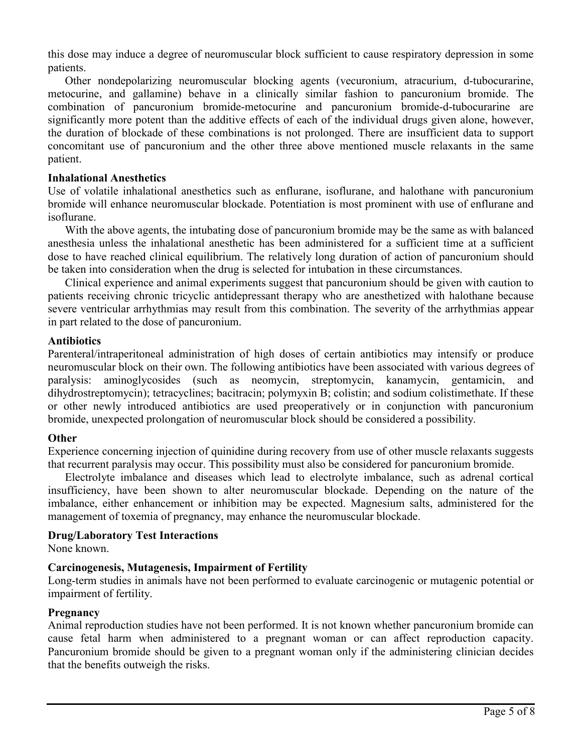this dose may induce a degree of neuromuscular block sufficient to cause respiratory depression in some patients.

Other nondepolarizing neuromuscular blocking agents (vecuronium, atracurium, d-tubocurarine, metocurine, and gallamine) behave in a clinically similar fashion to pancuronium bromide. The combination of pancuronium bromide-metocurine and pancuronium bromide-d-tubocurarine are significantly more potent than the additive effects of each of the individual drugs given alone, however, the duration of blockade of these combinations is not prolonged. There are insufficient data to support concomitant use of pancuronium and the other three above mentioned muscle relaxants in the same patient.

## **Inhalational Anesthetics**

Use of volatile inhalational anesthetics such as enflurane, isoflurane, and halothane with pancuronium bromide will enhance neuromuscular blockade. Potentiation is most prominent with use of enflurane and isoflurane.

With the above agents, the intubating dose of pancuronium bromide may be the same as with balanced anesthesia unless the inhalational anesthetic has been administered for a sufficient time at a sufficient dose to have reached clinical equilibrium. The relatively long duration of action of pancuronium should be taken into consideration when the drug is selected for intubation in these circumstances.

Clinical experience and animal experiments suggest that pancuronium should be given with caution to patients receiving chronic tricyclic antidepressant therapy who are anesthetized with halothane because severe ventricular arrhythmias may result from this combination. The severity of the arrhythmias appear in part related to the dose of pancuronium.

## **Antibiotics**

Parenteral/intraperitoneal administration of high doses of certain antibiotics may intensify or produce neuromuscular block on their own. The following antibiotics have been associated with various degrees of paralysis: aminoglycosides (such as neomycin, streptomycin, kanamycin, gentamicin, and dihydrostreptomycin); tetracyclines; bacitracin; polymyxin B; colistin; and sodium colistimethate. If these or other newly introduced antibiotics are used preoperatively or in conjunction with pancuronium bromide, unexpected prolongation of neuromuscular block should be considered a possibility.

## **Other**

Experience concerning injection of quinidine during recovery from use of other muscle relaxants suggests that recurrent paralysis may occur. This possibility must also be considered for pancuronium bromide.

Electrolyte imbalance and diseases which lead to electrolyte imbalance, such as adrenal cortical insufficiency, have been shown to alter neuromuscular blockade. Depending on the nature of the imbalance, either enhancement or inhibition may be expected. Magnesium salts, administered for the management of toxemia of pregnancy, may enhance the neuromuscular blockade.

## **Drug/Laboratory Test Interactions**

None known.

## **Carcinogenesis, Mutagenesis, Impairment of Fertility**

Long-term studies in animals have not been performed to evaluate carcinogenic or mutagenic potential or impairment of fertility.

## **Pregnancy**

Animal reproduction studies have not been performed. It is not known whether pancuronium bromide can cause fetal harm when administered to a pregnant woman or can affect reproduction capacity. Pancuronium bromide should be given to a pregnant woman only if the administering clinician decides that the benefits outweigh the risks.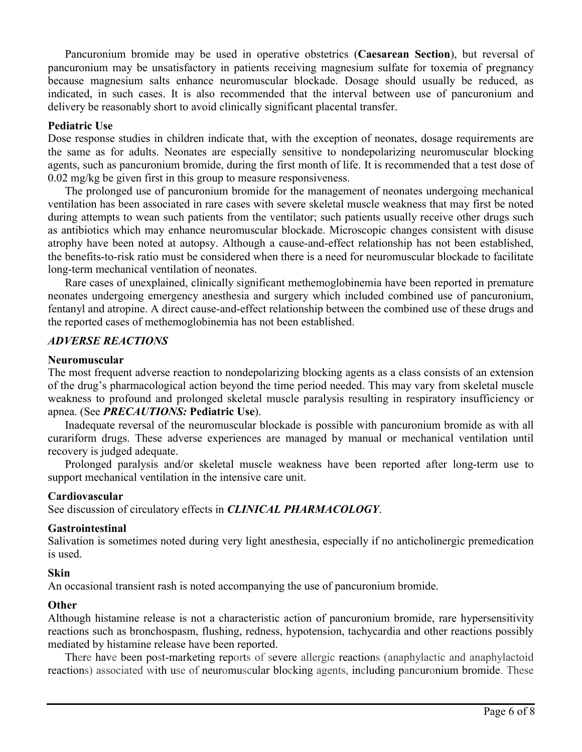Pancuronium bromide may be used in operative obstetrics (**Caesarean Section**), but reversal of pancuronium may be unsatisfactory in patients receiving magnesium sulfate for toxemia of pregnancy because magnesium salts enhance neuromuscular blockade. Dosage should usually be reduced, as indicated, in such cases. It is also recommended that the interval between use of pancuronium and delivery be reasonably short to avoid clinically significant placental transfer.

#### **Pediatric Use**

Dose response studies in children indicate that, with the exception of neonates, dosage requirements are the same as for adults. Neonates are especially sensitive to nondepolarizing neuromuscular blocking agents, such as pancuronium bromide, during the first month of life. It is recommended that a test dose of 0.02 mg/kg be given first in this group to measure responsiveness.

The prolonged use of pancuronium bromide for the management of neonates undergoing mechanical ventilation has been associated in rare cases with severe skeletal muscle weakness that may first be noted during attempts to wean such patients from the ventilator; such patients usually receive other drugs such as antibiotics which may enhance neuromuscular blockade. Microscopic changes consistent with disuse atrophy have been noted at autopsy. Although a cause-and-effect relationship has not been established, the benefits-to-risk ratio must be considered when there is a need for neuromuscular blockade to facilitate long-term mechanical ventilation of neonates.

Rare cases of unexplained, clinically significant methemoglobinemia have been reported in premature neonates undergoing emergency anesthesia and surgery which included combined use of pancuronium, fentanyl and atropine. A direct cause-and-effect relationship between the combined use of these drugs and the reported cases of methemoglobinemia has not been established.

## *ADVERSE REACTIONS*

## **Neuromuscular**

The most frequent adverse reaction to nondepolarizing blocking agents as a class consists of an extension of the drug's pharmacological action beyond the time period needed. This may vary from skeletal muscle weakness to profound and prolonged skeletal muscle paralysis resulting in respiratory insufficiency or apnea. (See *PRECAUTIONS:* **Pediatric Use**).

Inadequate reversal of the neuromuscular blockade is possible with pancuronium bromide as with all curariform drugs. These adverse experiences are managed by manual or mechanical ventilation until recovery is judged adequate.

Prolonged paralysis and/or skeletal muscle weakness have been reported after long-term use to support mechanical ventilation in the intensive care unit.

## **Cardiovascular**

See discussion of circulatory effects in *CLINICAL PHARMACOLOGY*.

## **Gastrointestinal**

Salivation is sometimes noted during very light anesthesia, especially if no anticholinergic premedication is used.

#### **Skin**

An occasional transient rash is noted accompanying the use of pancuronium bromide.

## **Other**

Although histamine release is not a characteristic action of pancuronium bromide, rare hypersensitivity reactions such as bronchospasm, flushing, redness, hypotension, tachycardia and other reactions possibly mediated by histamine release have been reported.

There have been post-marketing reports of severe allergic reactions (anaphylactic and anaphylactoid reactions) associated with use of neuromuscular blocking agents, including pancuronium bromide. These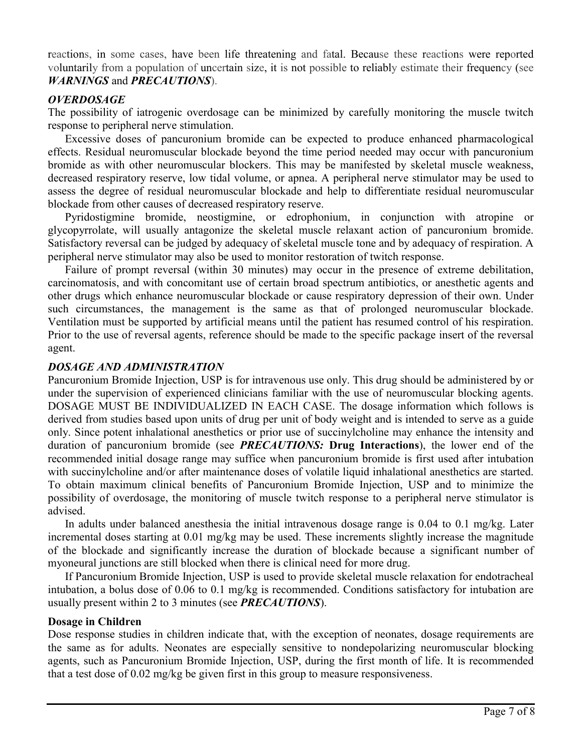reactions, in some cases, have been life threatening and fatal. Because these reactions were reported voluntarily from a population of uncertain size, it is not possible to reliably estimate their frequency (see *WARNINGS* and *PRECAUTIONS*).

## *OVERDOSAGE*

The possibility of iatrogenic overdosage can be minimized by carefully monitoring the muscle twitch response to peripheral nerve stimulation.

Excessive doses of pancuronium bromide can be expected to produce enhanced pharmacological effects. Residual neuromuscular blockade beyond the time period needed may occur with pancuronium bromide as with other neuromuscular blockers. This may be manifested by skeletal muscle weakness, decreased respiratory reserve, low tidal volume, or apnea. A peripheral nerve stimulator may be used to assess the degree of residual neuromuscular blockade and help to differentiate residual neuromuscular blockade from other causes of decreased respiratory reserve.

Pyridostigmine bromide, neostigmine, or edrophonium, in conjunction with atropine or glycopyrrolate, will usually antagonize the skeletal muscle relaxant action of pancuronium bromide. Satisfactory reversal can be judged by adequacy of skeletal muscle tone and by adequacy of respiration. A peripheral nerve stimulator may also be used to monitor restoration of twitch response.

Failure of prompt reversal (within 30 minutes) may occur in the presence of extreme debilitation, carcinomatosis, and with concomitant use of certain broad spectrum antibiotics, or anesthetic agents and other drugs which enhance neuromuscular blockade or cause respiratory depression of their own. Under such circumstances, the management is the same as that of prolonged neuromuscular blockade. Ventilation must be supported by artificial means until the patient has resumed control of his respiration. Prior to the use of reversal agents, reference should be made to the specific package insert of the reversal agent.

## *DOSAGE AND ADMINISTRATION*

Pancuronium Bromide Injection, USP is for intravenous use only. This drug should be administered by or under the supervision of experienced clinicians familiar with the use of neuromuscular blocking agents. DOSAGE MUST BE INDIVIDUALIZED IN EACH CASE. The dosage information which follows is derived from studies based upon units of drug per unit of body weight and is intended to serve as a guide only. Since potent inhalational anesthetics or prior use of succinylcholine may enhance the intensity and duration of pancuronium bromide (see *PRECAUTIONS:* **Drug Interactions**), the lower end of the recommended initial dosage range may suffice when pancuronium bromide is first used after intubation with succinylcholine and/or after maintenance doses of volatile liquid inhalational anesthetics are started. To obtain maximum clinical benefits of Pancuronium Bromide Injection, USP and to minimize the possibility of overdosage, the monitoring of muscle twitch response to a peripheral nerve stimulator is advised.

In adults under balanced anesthesia the initial intravenous dosage range is 0.04 to 0.1 mg/kg. Later incremental doses starting at 0.01 mg/kg may be used. These increments slightly increase the magnitude of the blockade and significantly increase the duration of blockade because a significant number of myoneural junctions are still blocked when there is clinical need for more drug.

If Pancuronium Bromide Injection, USP is used to provide skeletal muscle relaxation for endotracheal intubation, a bolus dose of 0.06 to 0.1 mg/kg is recommended. Conditions satisfactory for intubation are usually present within 2 to 3 minutes (see *PRECAUTIONS*).

## **Dosage in Children**

Dose response studies in children indicate that, with the exception of neonates, dosage requirements are the same as for adults. Neonates are especially sensitive to nondepolarizing neuromuscular blocking agents, such as Pancuronium Bromide Injection, USP, during the first month of life. It is recommended that a test dose of 0.02 mg/kg be given first in this group to measure responsiveness.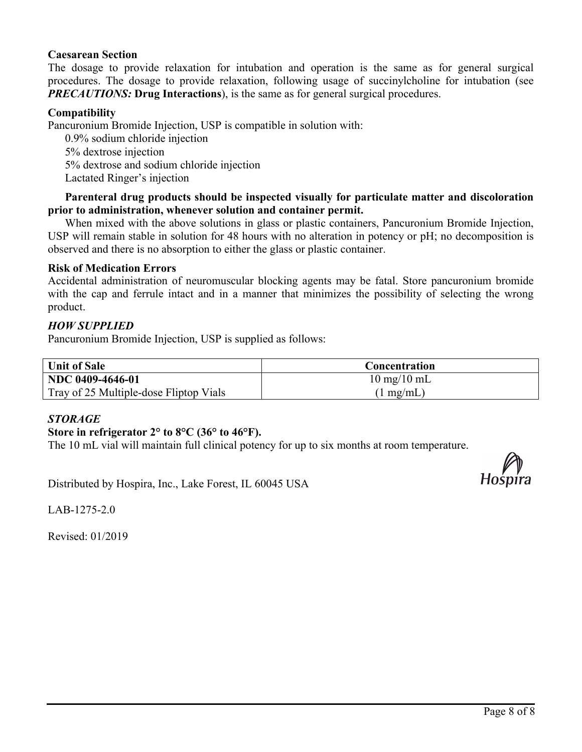## **Caesarean Section**

The dosage to provide relaxation for intubation and operation is the same as for general surgical procedures. The dosage to provide relaxation, following usage of succinylcholine for intubation (see *PRECAUTIONS:* **Drug Interactions**), is the same as for general surgical procedures.

## **Compatibility**

Pancuronium Bromide Injection, USP is compatible in solution with:

0.9% sodium chloride injection 5% dextrose injection 5% dextrose and sodium chloride injection Lactated Ringer's injection

## **Parenteral drug products should be inspected visually for particulate matter and discoloration prior to administration, whenever solution and container permit.**

When mixed with the above solutions in glass or plastic containers, Pancuronium Bromide Injection, USP will remain stable in solution for 48 hours with no alteration in potency or pH; no decomposition is observed and there is no absorption to either the glass or plastic container.

## **Risk of Medication Errors**

Accidental administration of neuromuscular blocking agents may be fatal. Store pancuronium bromide with the cap and ferrule intact and in a manner that minimizes the possibility of selecting the wrong product.

## *HOW SUPPLIED*

Pancuronium Bromide Injection, USP is supplied as follows:

| <b>Unit of Sale</b>                    | Concentration                 |
|----------------------------------------|-------------------------------|
| NDC 0409-4646-01                       | $10 \text{ mg}/10 \text{ mL}$ |
| Tray of 25 Multiple-dose Fliptop Vials | $(1 \text{ mg/mL})$           |

## *STORAGE*

## **Store in refrigerator 2° to 8°C (36° to 46°F).**

The 10 mL vial will maintain full clinical potency for up to six months at room temperature.

Distributed by Hospira, Inc., Lake Forest, IL 60045 USA



LAB-1275-2.0

Revised: 01/2019